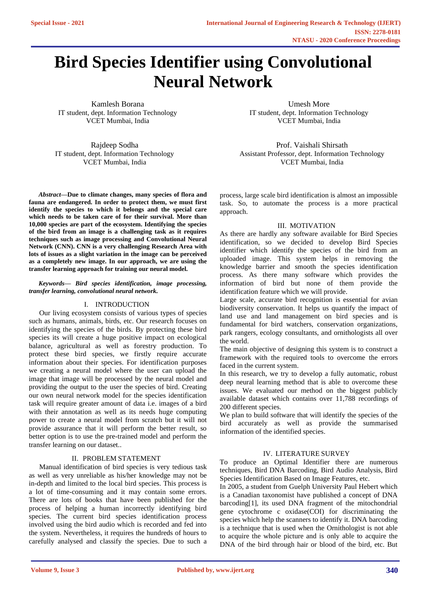# **Bird Species Identifier using Convolutional Neural Network**

Kamlesh Borana IT student, dept. Information Technology VCET Mumbai, India

Rajdeep Sodha IT student, dept. Information Technology VCET Mumbai, India

*Abstract***—Due to climate changes, many species of flora and fauna are endangered. In order to protect them, we must first identify the species to which it belongs and the special care which needs to be taken care of for their survival. More than 10,000 species are part of the ecosystem. Identifying the species of the bird from an image is a challenging task as it requires techniques such as image processing and Convolutional Neural Network (CNN). CNN is a very challenging Research Area with lots of issues as a slight variation in the image can be perceived as a completely new image. In our approach, we are using the transfer learning approach for training our neural model.**

### *Keywords— Bird species identification, image processing, transfer learning, convolutional neural network.*

# I. INTRODUCTION

Our living ecosystem consists of various types of species such as humans, animals, birds, etc. Our research focuses on identifying the species of the birds. By protecting these bird species its will create a huge positive impact on ecological balance, agricultural as well as forestry production. To protect these bird species, we firstly require accurate information about their species. For identification purposes we creating a neural model where the user can upload the image that image will be processed by the neural model and providing the output to the user the species of bird. Creating our own neural network model for the species identification task will require greater amount of data i.e. images of a bird with their annotation as well as its needs huge computing power to create a neural model from scratch but it will not provide assurance that it will perform the better result, so better option is to use the pre-trained model and perform the transfer learning on our dataset..

# II. PROBLEM STATEMENT

Manual identification of bird species is very tedious task as well as very unreliable as his/her knowledge may not be in-depth and limited to the local bird species. This process is a lot of time-consuming and it may contain some errors. There are lots of books that have been published for the process of helping a human incorrectly identifying bird species. The current bird species identification process involved using the bird audio which is recorded and fed into the system. Nevertheless, it requires the hundreds of hours to carefully analysed and classify the species. Due to such a

Umesh More IT student, dept. Information Technology VCET Mumbai, India

Prof. Vaishali Shirsath Assistant Professor, dept. Information Technology VCET Mumbai, India

process, large scale bird identification is almost an impossible task. So, to automate the process is a more practical approach.

# III. MOTIVATION

As there are hardly any software available for Bird Species identification, so we decided to develop Bird Species identifier which identify the species of the bird from an uploaded image. This system helps in removing the knowledge barrier and smooth the species identification process. As there many software which provides the information of bird but none of them provide the identification feature which we will provide.

Large scale, accurate bird recognition is essential for avian biodiversity conservation. It helps us quantify the impact of land use and land management on bird species and is fundamental for bird watchers, conservation organizations, park rangers, ecology consultants, and ornithologists all over the world.

The main objective of designing this system is to construct a framework with the required tools to overcome the errors faced in the current system.

In this research, we try to develop a fully automatic, robust deep neural learning method that is able to overcome these issues. We evaluated our method on the biggest publicly available dataset which contains over 11,788 recordings of 200 different species.

We plan to build software that will identify the species of the bird accurately as well as provide the summarised information of the identified species.

# IV. LITERATURE SURVEY

To produce an Optimal Identifier there are numerous techniques, Bird DNA Barcoding, Bird Audio Analysis, Bird Species Identification Based on Image Features, etc.

In 2005, a student from Guelph University Paul Hebert which is a Canadian taxonomist have published a concept of DNA barcoding[1], its used DNA fragment of the mitochondrial gene cytochrome c oxidase(COI) for discriminating the species which help the scanners to identify it. DNA barcoding is a technique that is used when the Ornithologist is not able to acquire the whole picture and is only able to acquire the DNA of the bird through hair or blood of the bird, etc. But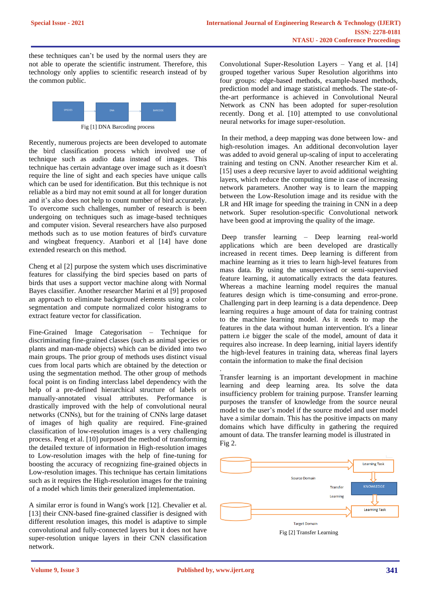these techniques can't be used by the normal users they are not able to operate the scientific instrument. Therefore, this technology only applies to scientific research instead of by the common public.



Fig [1] DNA Barcoding process

Recently, numerous projects are been developed to automate the bird classification process which involved use of technique such as audio data instead of images. This technique has certain advantage over image such as it doesn't require the line of sight and each species have unique calls which can be used for identification. But this technique is not reliable as a bird may not emit sound at all for longer duration and it's also does not help to count number of bird accurately. To overcome such challenges, number of research is been undergoing on techniques such as image-based techniques and computer vision. Several researchers have also purposed methods such as to use motion features of bird's curvature and wingbeat frequency. Atanbori et al [14] have done extended research on this method.

Cheng et al [2] purpose the system which uses discriminative features for classifying the bird species based on parts of birds that uses a support vector machine along with Normal Bayes classifier. Another researcher Marini et al [9] proposed an approach to eliminate background elements using a color segmentation and compute normalized color histograms to extract feature vector for classification.

Fine-Grained Image Categorisation – Technique for discriminating fine-grained classes (such as animal species or plants and man-made objects) which can be divided into two main groups. The prior group of methods uses distinct visual cues from local parts which are obtained by the detection or using the segmentation method. The other group of methods focal point is on finding interclass label dependency with the help of a pre-defined hierarchical structure of labels or manually-annotated visual attributes. Performance is drastically improved with the help of convolutional neural networks (CNNs), but for the training of CNNs large dataset of images of high quality are required. Fine-grained classification of low-resolution images is a very challenging process. Peng et al. [10] purposed the method of transforming the detailed texture of information in High-resolution images to Low-resolution images with the help of fine-tuning for boosting the accuracy of recognizing fine-grained objects in Low-resolution images. This technique has certain limitations such as it requires the High-resolution images for the training of a model which limits their generalized implementation.

A similar error is found in Wang's work [12]. Chevalier et al. [13] their CNN-based fine-grained classifier is designed with different resolution images, this model is adaptive to simple convolutional and fully-connected layers but it does not have super-resolution unique layers in their CNN classification network.

Convolutional Super-Resolution Layers – Yang et al. [14] grouped together various Super Resolution algorithms into four groups: edge-based methods, example-based methods, prediction model and image statistical methods. The state-ofthe-art performance is achieved in Convolutional Neural Network as CNN has been adopted for super-resolution recently. Dong et al. [10] attempted to use convolutional neural networks for image super-resolution.

In their method, a deep mapping was done between low- and high-resolution images. An additional deconvolution layer was added to avoid general up-scaling of input to accelerating training and testing on CNN. Another researcher Kim et al. [15] uses a deep recursive layer to avoid additional weighting layers, which reduce the computing time in case of increasing network parameters. Another way is to learn the mapping between the Low-Resolution image and its residue with the LR and HR image for speeding the training in CNN in a deep network. Super resolution-specific Convolutional network have been good at improving the quality of the image.

Deep transfer learning – Deep learning real-world applications which are been developed are drastically increased in recent times. Deep learning is different from machine learning as it tries to learn high-level features from mass data. By using the unsupervised or semi-supervised feature learning, it automatically extracts the data features. Whereas a machine learning model requires the manual features design which is time-consuming and error-prone. Challenging part in deep learning is a data dependence. Deep learning requires a huge amount of data for training contrast to the machine learning model. As it needs to map the features in the data without human intervention. It's a linear pattern i.e bigger the scale of the model, amount of data it requires also increase. In deep learning, initial layers identify the high-level features in training data, whereas final layers contain the information to make the final decision

. Transfer learning is an important development in machine learning and deep learning area. Its solve the data insufficiency problem for training purpose. Transfer learning purposes the transfer of knowledge from the source neural model to the user's model if the source model and user model have a similar domain. This has the positive impacts on many domains which have difficulty in gathering the required amount of data. The transfer learning model is illustrated in Fig 2.

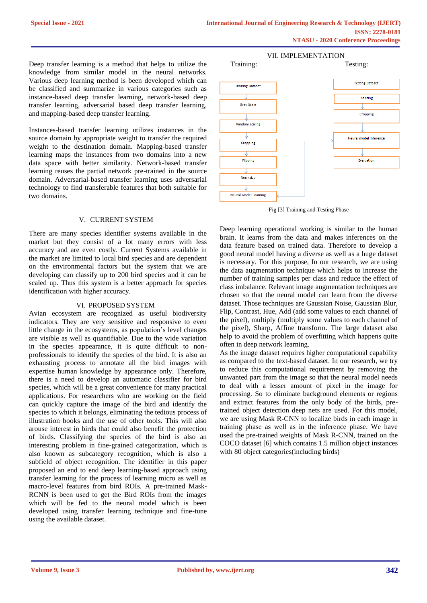Deep transfer learning is a method that helps to utilize the knowledge from similar model in the neural networks. Various deep learning method is been developed which can be classified and summarize in various categories such as instance-based deep transfer learning, network-based deep transfer learning, adversarial based deep transfer learning, and mapping-based deep transfer learning.

Instances-based transfer learning utilizes instances in the source domain by appropriate weight to transfer the required weight to the destination domain. Mapping-based transfer learning maps the instances from two domains into a new data space with better similarity. Network-based transfer learning reuses the partial network pre-trained in the source domain. Adversarial-based transfer learning uses adversarial technology to find transferable features that both suitable for two domains.

#### V. CURRENT SYSTEM

There are many species identifier systems available in the market but they consist of a lot many errors with less accuracy and are even costly. Current Systems available in the market are limited to local bird species and are dependent on the environmental factors but the system that we are developing can classify up to 200 bird species and it can be scaled up. Thus this system is a better approach for species identification with higher accuracy.

#### VI. PROPOSED SYSTEM

Avian ecosystem are recognized as useful biodiversity indicators. They are very sensitive and responsive to even little change in the ecosystems, as population's level changes are visible as well as quantifiable. Due to the wide variation in the species appearance, it is quite difficult to nonprofessionals to identify the species of the bird. It is also an exhausting process to annotate all the bird images with expertise human knowledge by appearance only. Therefore, there is a need to develop an automatic classifier for bird species, which will be a great convenience for many practical applications. For researchers who are working on the field can quickly capture the image of the bird and identify the species to which it belongs, eliminating the tedious process of illustration books and the use of other tools. This will also arouse interest in birds that could also benefit the protection of birds. Classifying the species of the bird is also an interesting problem in fine-grained categorization, which is also known as subcategory recognition, which is also a subfield of object recognition. The identifier in this paper proposed an end to end deep learning-based approach using transfer learning for the process of learning micro as well as macro-level features from bird ROIs. A pre-trained Mask-RCNN is been used to get the Bird ROIs from the images which will be fed to the neural model which is been developed using transfer learning technique and fine-tune using the available dataset.



Fig [3] Training and Testing Phase

Deep learning operational working is similar to the human brain. It learns from the data and makes inferences on the data feature based on trained data. Therefore to develop a good neural model having a diverse as well as a huge dataset is necessary. For this purpose, In our research, we are using the data augmentation technique which helps to increase the number of training samples per class and reduce the effect of class imbalance. Relevant image augmentation techniques are chosen so that the neural model can learn from the diverse dataset. Those techniques are Gaussian Noise, Gaussian Blur, Flip, Contrast, Hue, Add (add some values to each channel of the pixel), multiply (multiply some values to each channel of the pixel), Sharp, Affine transform. The large dataset also help to avoid the problem of overfitting which happens quite often in deep network learning.

As the image dataset requires higher computational capability as compared to the text-based dataset. In our research, we try to reduce this computational requirement by removing the unwanted part from the image so that the neural model needs to deal with a lesser amount of pixel in the image for processing. So to eliminate background elements or regions and extract features from the only body of the birds, pretrained object detection deep nets are used. For this model, we are using Mask R-CNN to localize birds in each image in training phase as well as in the inference phase. We have used the pre-trained weights of Mask R-CNN, trained on the COCO dataset [6] which contains 1.5 million object instances with 80 object categories(including birds)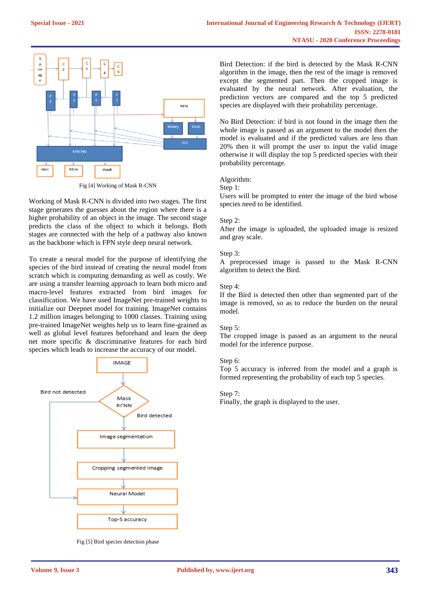

Fig [4] Working of Mask R-CNN

Working of Mask R-CNN is divided into two stages. The first stage generates the guesses about the region where there is a higher probability of an object in the image. The second stage predicts the class of the object to which it belongs. Both stages are connected with the help of a pathway also known as the backbone which is FPN style deep neural network.

To create a neural model for the purpose of identifying the species of the bird instead of creating the neural model from scratch which is computing demanding as well as costly. We are using a transfer learning approach to learn both micro and macro-level features extracted from bird images for classification. We have used ImageNet pre-trained weights to initialize our Deepnet model for training. ImageNet contains 1.2 million images belonging to 1000 classes. Training using pre-trained ImageNet weights help us to learn fine-grained as well as global level features beforehand and learn the deep net more specific & discriminative features for each bird species which leads to increase the accuracy of our model.



Fig [5] Bird species detection phase

Bird Detection: if the bird is detected by the Mask R-CNN algorithm in the image, then the rest of the image is removed except the segmented part. Then the cropped image is evaluated by the neural network. After evaluation, the prediction vectors are compared and the top 5 predicted species are displayed with their probability percentage.

No Bird Detection: if bird is not found in the image then the whole image is passed as an argument to the model then the model is evaluated and if the predicted values are less than 20% then it will prompt the user to input the valid image otherwise it will display the top 5 predicted species with their probability percentage.

#### Algorithm:

Step 1:

Users will be prompted to enter the image of the bird whose species need to be identified.

#### Step 2:

After the image is uploaded, the uploaded image is resized and gray scale.

#### Step 3:

A preprocessed image is passed to the Mask R-CNN algorithm to detect the Bird.

# Step 4:

If the Bird is detected then other than segmented part of the image is removed, so as to reduce the burden on the neural model.

# Step 5:

The cropped image is passed as an argument to the neural model for the inference purpose.

# Step 6:

Top 5 accuracy is inferred from the model and a graph is formed representing the probability of each top 5 species.

#### Step 7:

Finally, the graph is displayed to the user.